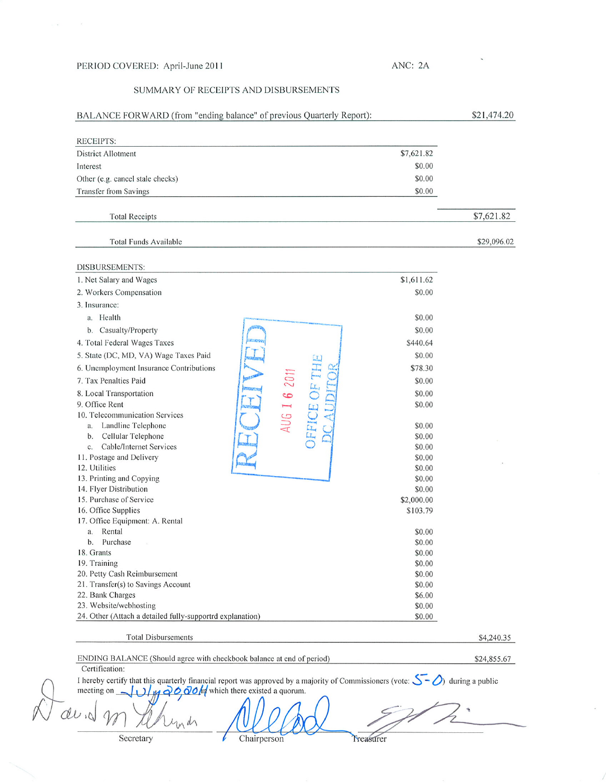## PERIOD COVERED: April-June 2011

 $\overline{C}$  ,  $\overline{C}$  ,  $\overline{C}$ 

## ANC: 2A

## SUMMARY OF RECEIPTS AND DISBURSEMENTS

| RECEIPTS:<br><b>District Allotment</b>                                                                                                                         | \$7,621.82       |             |
|----------------------------------------------------------------------------------------------------------------------------------------------------------------|------------------|-------------|
| Interest                                                                                                                                                       | \$0.00           |             |
| Other (e.g. cancel stale checks)                                                                                                                               | \$0.00           |             |
| Transfer from Savings                                                                                                                                          | \$0.00           |             |
|                                                                                                                                                                |                  |             |
| <b>Total Receipts</b>                                                                                                                                          |                  | \$7,621.82  |
| <b>Total Funds Available</b>                                                                                                                                   |                  | \$29,096.02 |
| DISBURSEMENTS:                                                                                                                                                 |                  |             |
| 1. Net Salary and Wages                                                                                                                                        | \$1,611.62       |             |
| 2. Workers Compensation                                                                                                                                        | \$0.00           |             |
| 3. Insurance:                                                                                                                                                  |                  |             |
| a. Health                                                                                                                                                      | \$0.00           |             |
| b. Casualty/Property                                                                                                                                           | \$0.00           |             |
| 4. Total Federal Wages Taxes                                                                                                                                   | \$440.64         |             |
| 5. State (DC, MD, VA) Wage Taxes Paid                                                                                                                          | \$0.00           |             |
| <b>JFFICE OF THE</b><br>6. Unemployment Insurance Contributions                                                                                                | \$78.30          |             |
| AUG 1 6 201<br>7. Tax Penalties Paid                                                                                                                           | \$0.00           |             |
| <b>CIRCOVER</b><br>8. Local Transportation                                                                                                                     | \$0.00           |             |
| 9. Office Rent                                                                                                                                                 | \$0.00           |             |
| 10. Telecommunication Services                                                                                                                                 |                  |             |
| Landline Telephone<br>a.                                                                                                                                       | \$0.00           |             |
| b. Cellular Telephone                                                                                                                                          | \$0.00           |             |
| c. Cable/Internet Services<br>11. Postage and Delivery                                                                                                         | \$0.00<br>\$0.00 |             |
| 12. Utilities                                                                                                                                                  | \$0.00           |             |
| 13. Printing and Copying                                                                                                                                       | \$0.00           |             |
| 14. Flyer Distribution                                                                                                                                         | \$0.00           |             |
| 15. Purchase of Service                                                                                                                                        | \$2,000.00       |             |
| 16. Office Supplies                                                                                                                                            | \$103.79         |             |
| 17. Office Equipment: A. Rental                                                                                                                                |                  |             |
| Rental<br>a.<br>Purchase<br>b.                                                                                                                                 | \$0.00<br>\$0.00 |             |
| 18. Grants                                                                                                                                                     | \$0.00           |             |
| 19. Training                                                                                                                                                   | \$0.00           |             |
| 20. Petty Cash Reimbursement                                                                                                                                   | \$0.00           |             |
| 21. Transfer(s) to Savings Account                                                                                                                             | \$0.00           |             |
| 22. Bank Charges                                                                                                                                               | \$6.00           |             |
| 23. Website/webhosting                                                                                                                                         | \$0.00           |             |
| 24. Other (Attach a detailed fully-supportrd explanation)                                                                                                      | \$0.00           |             |
| <b>Total Disbursements</b>                                                                                                                                     |                  | \$4,240.35  |
| ENDING BALANCE (Should agree with checkbook balance at end of period)                                                                                          |                  | \$24,855.67 |
| Certification:<br>I hereby certify that this quarterly financial report was approved by a majority of Commissioners (vote: $\sum$ $\bigcirc$ ) during a public |                  |             |
| $\overline{\omega}$ $\overline{Q}$ $\overline{Q}$ $\overline{Q}$ $\overline{M}$ which there existed a quorum.<br>meeting on                                    |                  |             |
|                                                                                                                                                                |                  |             |

Secretary

Y Chairperson  $\iota$ 

Treasurer

 $\epsilon$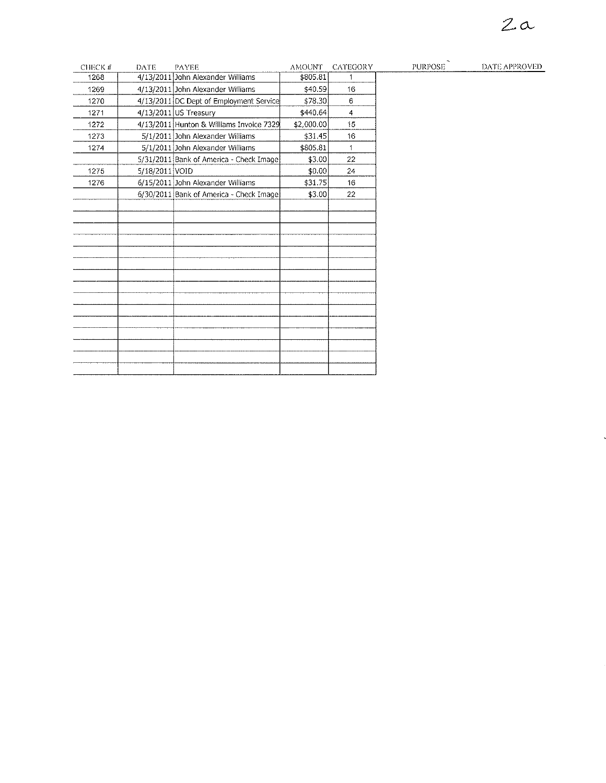## $2a$

 $\ddot{\phantom{0}}$ 

| CHECK # | DATE           | <b>PAYEE</b>                             | <b>AMOUNT</b> | CATEGORY       | <b>PURPOSE</b> | DATE APPROVED |
|---------|----------------|------------------------------------------|---------------|----------------|----------------|---------------|
| 1268    |                | 4/13/2011 John Alexander Williams        | \$805.81      |                |                |               |
| 1269    |                | 4/13/2011 John Alexander Williams        | \$40.59       | 16             |                |               |
| 1270    |                | 4/13/2011 DC Dept of Employment Service  | \$78.30       | $6^{\circ}$    |                |               |
| 1271    |                | 4/13/2011 US Treasury                    | \$440.64]     | $\overline{4}$ |                |               |
| 1272    |                | 4/13/2011 Hunton & Williams Invoice 7329 | \$2,000.00    | 15             |                |               |
| 1273    |                | 5/1/2011 John Alexander Williams         | \$31.45]      | 16             |                |               |
| 1274    |                | 5/1/2011 John Alexander Williams         | \$805.81      | $\mathbf{1}$   |                |               |
|         |                | 5/31/2011 Bank of America - Check Image  | \$3.00        | 22             |                |               |
| 1275    | 5/18/2011 VOID |                                          | \$0.00        | 24             |                |               |
| 1276    |                | 6/15/2011 John Alexander Williams        | \$31.75]      | 16             |                |               |
|         |                | 6/30/2011 Bank of America - Check Image  | \$3.00        | 22             |                |               |
|         |                |                                          |               |                |                |               |
|         |                |                                          |               |                |                |               |
|         |                |                                          |               |                |                |               |
|         |                |                                          |               |                |                |               |
|         |                |                                          |               |                |                |               |
|         |                |                                          |               |                |                |               |
|         |                |                                          |               |                |                |               |
|         |                |                                          |               |                |                |               |
|         |                |                                          |               |                |                |               |
|         |                |                                          |               |                |                |               |
|         |                |                                          |               |                |                |               |
|         |                |                                          |               |                |                |               |
|         |                |                                          |               |                |                |               |
|         |                |                                          |               |                |                |               |
|         |                |                                          |               |                |                |               |